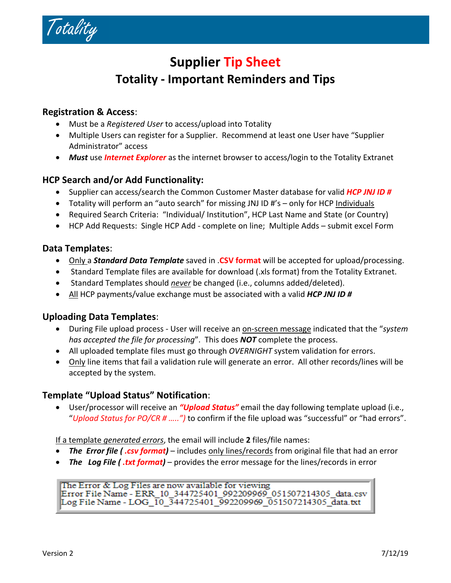

# **Supplier Tip Sheet Totality ‐ Important Reminders and Tips**

## **Registration & Access**:

- Must be a *Registered User* to access/upload into Totality
- Multiple Users can register for a Supplier. Recommend at least one User have "Supplier Administrator" access
- *Must* use *Internet Explorer* as the internet browser to access/login to the Totality Extranet

## **HCP Search and/or Add Functionality:**

- Supplier can access/search the Common Customer Master database for valid *HCP JNJ ID #*
- Totality will perform an "auto search" for missing JNJ ID #'s only for HCP Individuals
- Required Search Criteria: "Individual/ Institution", HCP Last Name and State (or Country)
- HCP Add Requests: Single HCP Add ‐ complete on line; Multiple Adds submit excel Form

# **Data Templates**:

- Only a *Standard Data Template* saved in .**CSV format** will be accepted for upload/processing.
- Standard Template files are available for download (.xls format) from the Totality Extranet.
- Standard Templates should *never* be changed (i.e., columns added/deleted).
- All HCP payments/value exchange must be associated with a valid *HCP JNJ ID #*

#### **Uploading Data Templates**:

- During File upload process ‐ User will receive an on‐screen message indicated that the "*system has accepted the file for processing*". This does *NOT* complete the process.
- All uploaded template files must go through *OVERNIGHT* system validation for errors.
- Only line items that fail a validation rule will generate an error. All other records/lines will be accepted by the system.

# **Template "Upload Status" Notification**:

• User/processor will receive an *"Upload Status"* email the day following template upload (i.e., "*Upload Status for PO/CR # …..")* to confirm if the file upload was "successful" or "had errors".

#### If a template *generated errors*, the email will include **2** files/file names:

- **The** *Error file* (*.csv format*) includes only lines/records from original file that had an error
- The Log File (.txt format) provides the error message for the lines/records in error

The Error & Log Files are now available for viewing Error File Name - ERR\_10\_344725401\_992209969\_051507214305\_data.csv Log File Name - LOG 10 344725401 992209969 051507214305 data.txt